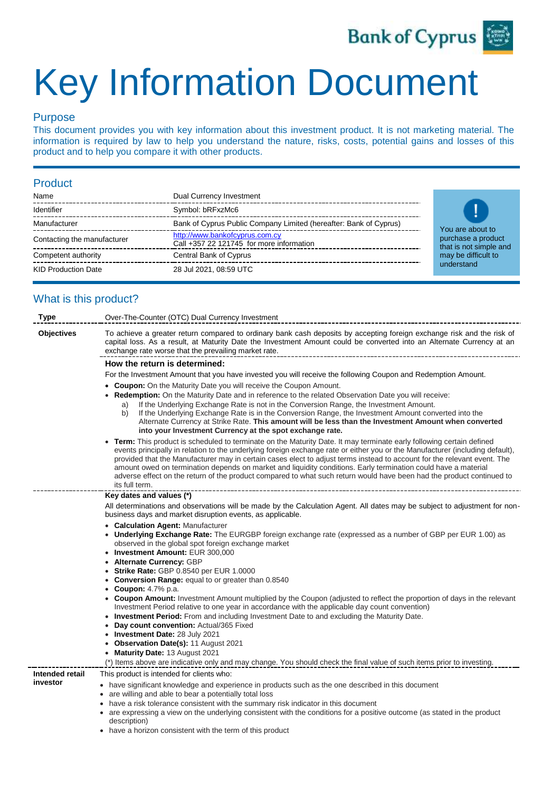

# Key Information Document

### Purpose

This document provides you with key information about this investment product. It is not marketing material. The information is required by law to help you understand the nature, risks, costs, potential gains and losses of this product and to help you compare it with other products.

#### Product

| Name                        | Dual Currency Investment                                                   |
|-----------------------------|----------------------------------------------------------------------------|
| Identifier                  | Symbol: bRFxzMc6                                                           |
| Manufacturer                | Bank of Cyprus Public Company Limited (hereafter: Bank of Cyprus)          |
| Contacting the manufacturer | http://www.bankofcyprus.com.cy<br>Call +357 22 121745 for more information |
| Competent authority         | Central Bank of Cyprus                                                     |
| <b>KID Production Date</b>  | 28 Jul 2021, 08:59 UTC                                                     |



## What is this product?

| <b>Type</b>                 | Over-The-Counter (OTC) Dual Currency Investment                                                                                                                                                                                                                                                                                                                                                                                                                                                                                                                                                                                               |  |  |  |  |
|-----------------------------|-----------------------------------------------------------------------------------------------------------------------------------------------------------------------------------------------------------------------------------------------------------------------------------------------------------------------------------------------------------------------------------------------------------------------------------------------------------------------------------------------------------------------------------------------------------------------------------------------------------------------------------------------|--|--|--|--|
| <b>Objectives</b>           | To achieve a greater return compared to ordinary bank cash deposits by accepting foreign exchange risk and the risk of<br>capital loss. As a result, at Maturity Date the Investment Amount could be converted into an Alternate Currency at an<br>exchange rate worse that the prevailing market rate.                                                                                                                                                                                                                                                                                                                                       |  |  |  |  |
|                             | How the return is determined:                                                                                                                                                                                                                                                                                                                                                                                                                                                                                                                                                                                                                 |  |  |  |  |
|                             | For the Investment Amount that you have invested you will receive the following Coupon and Redemption Amount.                                                                                                                                                                                                                                                                                                                                                                                                                                                                                                                                 |  |  |  |  |
|                             | <b>Coupon:</b> On the Maturity Date you will receive the Coupon Amount.<br>Redemption: On the Maturity Date and in reference to the related Observation Date you will receive:<br>If the Underlying Exchange Rate is not in the Conversion Range, the Investment Amount.<br>a)<br>If the Underlying Exchange Rate is in the Conversion Range, the Investment Amount converted into the<br>b)<br>Alternate Currency at Strike Rate. This amount will be less than the Investment Amount when converted                                                                                                                                         |  |  |  |  |
|                             | into your Investment Currency at the spot exchange rate.                                                                                                                                                                                                                                                                                                                                                                                                                                                                                                                                                                                      |  |  |  |  |
|                             | Term: This product is scheduled to terminate on the Maturity Date. It may terminate early following certain defined<br>events principally in relation to the underlying foreign exchange rate or either you or the Manufacturer (including default),<br>provided that the Manufacturer may in certain cases elect to adjust terms instead to account for the relevant event. The<br>amount owed on termination depends on market and liquidity conditions. Early termination could have a material<br>adverse effect on the return of the product compared to what such return would have been had the product continued to<br>its full term. |  |  |  |  |
|                             | Key dates and values (*)                                                                                                                                                                                                                                                                                                                                                                                                                                                                                                                                                                                                                      |  |  |  |  |
|                             | All determinations and observations will be made by the Calculation Agent. All dates may be subject to adjustment for non-<br>business days and market disruption events, as applicable.                                                                                                                                                                                                                                                                                                                                                                                                                                                      |  |  |  |  |
|                             | <b>Calculation Agent: Manufacturer</b><br>$\bullet$<br><b>Underlying Exchange Rate:</b> The EURGBP foreign exchange rate (expressed as a number of GBP per EUR 1.00) as<br>observed in the global spot foreign exchange market                                                                                                                                                                                                                                                                                                                                                                                                                |  |  |  |  |
|                             | • Investment Amount: EUR 300,000<br>Alternate Currency: GBP                                                                                                                                                                                                                                                                                                                                                                                                                                                                                                                                                                                   |  |  |  |  |
|                             | <b>Strike Rate: GBP 0.8540 per EUR 1.0000</b>                                                                                                                                                                                                                                                                                                                                                                                                                                                                                                                                                                                                 |  |  |  |  |
|                             | <b>Conversion Range:</b> equal to or greater than 0.8540                                                                                                                                                                                                                                                                                                                                                                                                                                                                                                                                                                                      |  |  |  |  |
|                             | <b>Coupon:</b> 4.7% p.a.<br><b>Coupon Amount:</b> Investment Amount multiplied by the Coupon (adjusted to reflect the proportion of days in the relevant<br>Investment Period relative to one year in accordance with the applicable day count convention)<br><b>Investment Period:</b> From and including Investment Date to and excluding the Maturity Date.                                                                                                                                                                                                                                                                                |  |  |  |  |
|                             | Day count convention: Actual/365 Fixed<br>$\bullet$                                                                                                                                                                                                                                                                                                                                                                                                                                                                                                                                                                                           |  |  |  |  |
|                             | Investment Date: 28 July 2021<br>٠                                                                                                                                                                                                                                                                                                                                                                                                                                                                                                                                                                                                            |  |  |  |  |
|                             | Observation Date(s): 11 August 2021                                                                                                                                                                                                                                                                                                                                                                                                                                                                                                                                                                                                           |  |  |  |  |
|                             | • Maturity Date: 13 August 2021                                                                                                                                                                                                                                                                                                                                                                                                                                                                                                                                                                                                               |  |  |  |  |
|                             | (*) Items above are indicative only and may change. You should check the final value of such items prior to investing.                                                                                                                                                                                                                                                                                                                                                                                                                                                                                                                        |  |  |  |  |
| Intended retail<br>investor | This product is intended for clients who:                                                                                                                                                                                                                                                                                                                                                                                                                                                                                                                                                                                                     |  |  |  |  |
|                             | • have significant knowledge and experience in products such as the one described in this document<br>• are willing and able to bear a potentially total loss<br>have a risk tolerance consistent with the summary risk indicator in this document<br>• are expressing a view on the underlying consistent with the conditions for a positive outcome (as stated in the product                                                                                                                                                                                                                                                               |  |  |  |  |
|                             | description)                                                                                                                                                                                                                                                                                                                                                                                                                                                                                                                                                                                                                                  |  |  |  |  |

• have a horizon consistent with the term of this product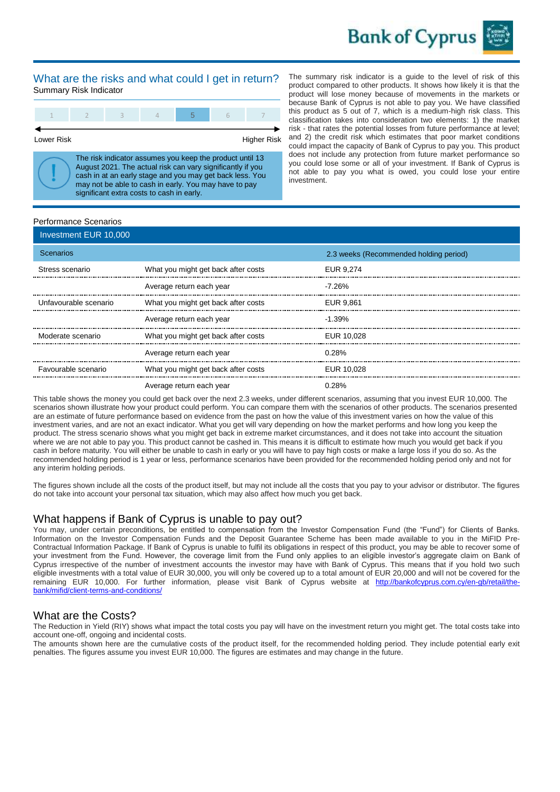

#### What are the risks and what could I get in return? Summary Risk Indicator

Lower Risk **Higher Risk** Higher Risk

The risk indicator assumes you keep the product until 13 August 2021. The actual risk can vary significantly if you cash in at an early stage and you may get back less. You may not be able to cash in early. You may have to pay significant extra costs to cash in early.

The summary risk indicator is a guide to the level of risk of this product compared to other products. It shows how likely it is that the product will lose money because of movements in the markets or because Bank of Cyprus is not able to pay you. We have classified this product as 5 out of 7, which is a medium-high risk class. This classification takes into consideration two elements: 1) the market risk - that rates the potential losses from future performance at level; and 2) the credit risk which estimates that poor market conditions could impact the capacity of Bank of Cyprus to pay you. This product does not include any protection from future market performance so you could lose some or all of your investment. If Bank of Cyprus is not able to pay you what is owed, you could lose your entire investment.

#### Performance Scenarios

| Investment EUR 10,000 |                                     |                                        |
|-----------------------|-------------------------------------|----------------------------------------|
| <b>Scenarios</b>      |                                     | 2.3 weeks (Recommended holding period) |
| Stress scenario       | What you might get back after costs | EUR 9.274                              |
|                       | Average return each year            | -7.26%                                 |
| Unfavourable scenario | What you might get back after costs | EUR 9.861                              |
|                       | Average return each year            | $-1.39\%$                              |
| Moderate scenario     | What you might get back after costs | EUR 10.028                             |
|                       | Average return each year            | 0.28%                                  |
| Favourable scenario   | What you might get back after costs | EUR 10.028                             |
|                       | Average return each year            | 0.28%                                  |

This table shows the money you could get back over the next 2.3 weeks, under different scenarios, assuming that you invest EUR 10,000. The scenarios shown illustrate how your product could perform. You can compare them with the scenarios of other products. The scenarios presented are an estimate of future performance based on evidence from the past on how the value of this investment varies on how the value of this investment varies, and are not an exact indicator. What you get will vary depending on how the market performs and how long you keep the product. The stress scenario shows what you might get back in extreme market circumstances, and it does not take into account the situation where we are not able to pay you. This product cannot be cashed in. This means it is difficult to estimate how much you would get back if you cash in before maturity. You will either be unable to cash in early or you will have to pay high costs or make a large loss if you do so. As the recommended holding period is 1 year or less, performance scenarios have been provided for the recommended holding period only and not for any interim holding periods.

The figures shown include all the costs of the product itself, but may not include all the costs that you pay to your advisor or distributor. The figures do not take into account your personal tax situation, which may also affect how much you get back.

#### What happens if Bank of Cyprus is unable to pay out?

You may, under certain preconditions, be entitled to compensation from the Investor Compensation Fund (the "Fund") for Clients of Banks. Information on the Investor Compensation Funds and the Deposit Guarantee Scheme has been made available to you in the MiFID Pre-Contractual Information Package. If Bank of Cyprus is unable to fulfil its obligations in respect of this product, you may be able to recover some of your investment from the Fund. However, the coverage limit from the Fund only applies to an eligible investor's aggregate claim on Bank of Cyprus irrespective of the number of investment accounts the investor may have with Bank of Cyprus. This means that if you hold two such eligible investments with a total value of EUR 30,000, you will only be covered up to a total amount of EUR 20,000 and will not be covered for the remaining EUR 10,000. For further information, please visit Bank of Cyprus website at [http://bankofcyprus.com.cy/en-gb/retail/the](http://bankofcyprus.com.cy/en-gb/retail/the-bank/mifid/client-terms-and-conditions)[bank/mifid/client-terms-and-conditions/](http://bankofcyprus.com.cy/en-gb/retail/the-bank/mifid/client-terms-and-conditions)

#### What are the Costs?

The Reduction in Yield (RIY) shows what impact the total costs you pay will have on the investment return you might get. The total costs take into account one-off, ongoing and incidental costs.

The amounts shown here are the cumulative costs of the product itself, for the recommended holding period. They include potential early exit penalties. The figures assume you invest EUR 10,000. The figures are estimates and may change in the future.